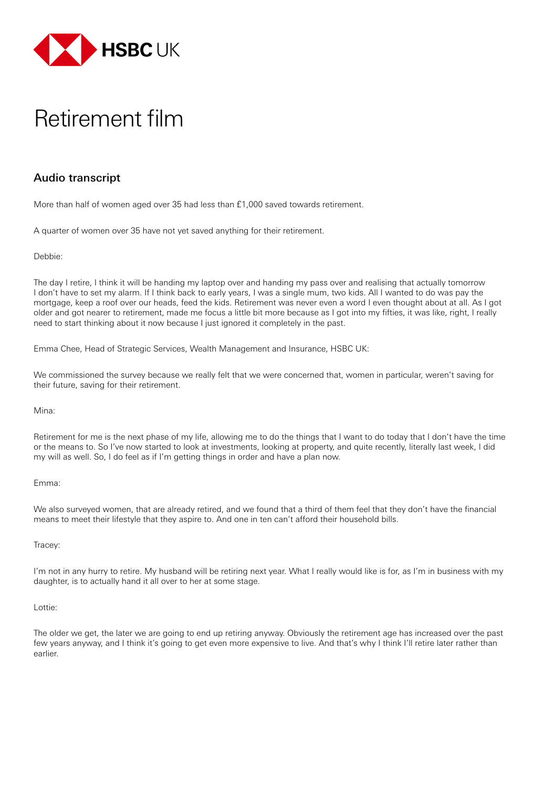

## Retirement film

## Audio transcript

More than half of women aged over 35 had less than £1,000 saved towards retirement.

A quarter of women over 35 have not yet saved anything for their retirement.

Debbie:

The day I retire, I think it will be handing my laptop over and handing my pass over and realising that actually tomorrow I don't have to set my alarm. If I think back to early years, I was a single mum, two kids. All I wanted to do was pay the mortgage, keep a roof over our heads, feed the kids. Retirement was never even a word I even thought about at all. As I got older and got nearer to retirement, made me focus a little bit more because as I got into my fifties, it was like, right, I really need to start thinking about it now because I just ignored it completely in the past.

Emma Chee, Head of Strategic Services, Wealth Management and Insurance, HSBC UK:

We commissioned the survey because we really felt that we were concerned that, women in particular, weren't saving for their future, saving for their retirement.

Mina:

Retirement for me is the next phase of my life, allowing me to do the things that I want to do today that I don't have the time or the means to. So I've now started to look at investments, looking at property, and quite recently, literally last week, I did my will as well. So, I do feel as if I'm getting things in order and have a plan now.

Emma:

We also surveyed women, that are already retired, and we found that a third of them feel that they don't have the financial means to meet their lifestyle that they aspire to. And one in ten can't afford their household bills.

Tracey:

I'm not in any hurry to retire. My husband will be retiring next year. What I really would like is for, as I'm in business with my daughter, is to actually hand it all over to her at some stage.

Lottie:

The older we get, the later we are going to end up retiring anyway. Obviously the retirement age has increased over the past few years anyway, and I think it's going to get even more expensive to live. And that's why I think I'll retire later rather than earlier.